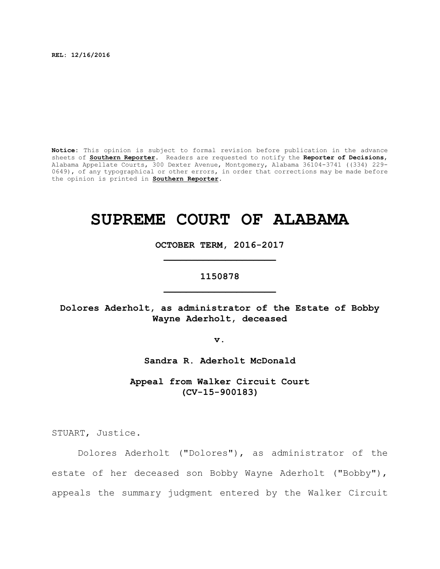**REL: 12/16/2016**

**Notice:** This opinion is subject to formal revision before publication in the advance sheets of **Southern Reporter**. Readers are requested to notify the **Reporter of Decisions**, Alabama Appellate Courts, 300 Dexter Avenue, Montgomery, Alabama 36104-3741 ((334) 229- 0649), of any typographical or other errors, in order that corrections may be made before the opinion is printed in **Southern Reporter**.

# **SUPREME COURT OF ALABAMA**

**OCTOBER TERM, 2016-2017 \_\_\_\_\_\_\_\_\_\_\_\_\_\_\_\_\_\_\_\_**

# **1150878 \_\_\_\_\_\_\_\_\_\_\_\_\_\_\_\_\_\_\_\_**

**Dolores Aderholt, as administrator of the Estate of Bobby Wayne Aderholt, deceased**

**v.**

**Sandra R. Aderholt McDonald**

**Appeal from Walker Circuit Court (CV-15-900183)**

STUART, Justice.

Dolores Aderholt ("Dolores"), as administrator of the estate of her deceased son Bobby Wayne Aderholt ("Bobby"), appeals the summary judgment entered by the Walker Circuit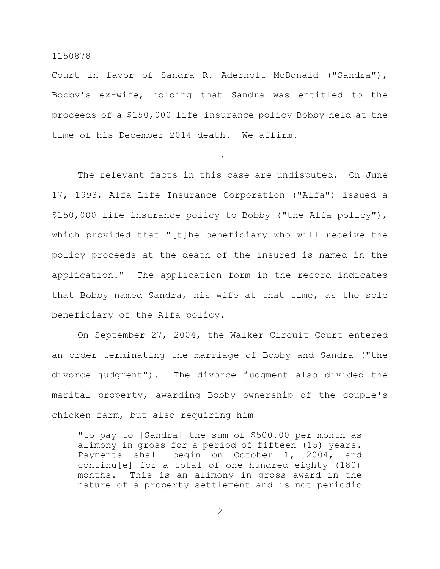Court in favor of Sandra R. Aderholt McDonald ("Sandra"), Bobby's ex-wife, holding that Sandra was entitled to the proceeds of a \$150,000 life-insurance policy Bobby held at the time of his December 2014 death. We affirm.

# I.

The relevant facts in this case are undisputed. On June 17, 1993, Alfa Life Insurance Corporation ("Alfa") issued a \$150,000 life-insurance policy to Bobby ("the Alfa policy"), which provided that "[t]he beneficiary who will receive the policy proceeds at the death of the insured is named in the application." The application form in the record indicates that Bobby named Sandra, his wife at that time, as the sole beneficiary of the Alfa policy.

On September 27, 2004, the Walker Circuit Court entered an order terminating the marriage of Bobby and Sandra ("the divorce judgment"). The divorce judgment also divided the marital property, awarding Bobby ownership of the couple's chicken farm, but also requiring him

"to pay to [Sandra] the sum of \$500.00 per month as alimony in gross for a period of fifteen (15) years. Payments shall begin on October 1, 2004, and continu[e] for a total of one hundred eighty (180) months. This is an alimony in gross award in the nature of a property settlement and is not periodic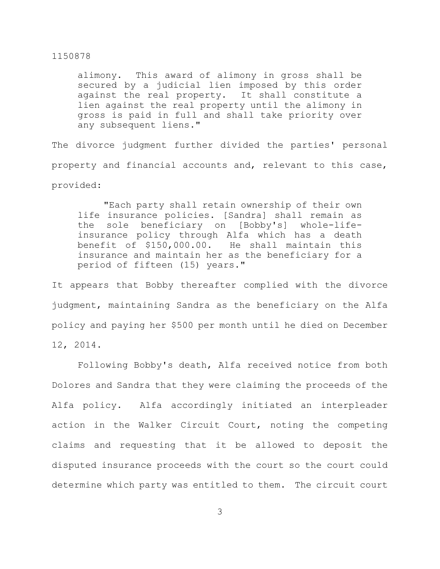alimony. This award of alimony in gross shall be secured by a judicial lien imposed by this order against the real property. It shall constitute a lien against the real property until the alimony in gross is paid in full and shall take priority over any subsequent liens."

The divorce judgment further divided the parties' personal property and financial accounts and, relevant to this case, provided:

"Each party shall retain ownership of their own life insurance policies. [Sandra] shall remain as the sole beneficiary on [Bobby's] whole-lifeinsurance policy through Alfa which has a death benefit of \$150,000.00. He shall maintain this insurance and maintain her as the beneficiary for a period of fifteen (15) years."

It appears that Bobby thereafter complied with the divorce judgment, maintaining Sandra as the beneficiary on the Alfa policy and paying her \$500 per month until he died on December 12, 2014.

Following Bobby's death, Alfa received notice from both Dolores and Sandra that they were claiming the proceeds of the Alfa policy. Alfa accordingly initiated an interpleader action in the Walker Circuit Court, noting the competing claims and requesting that it be allowed to deposit the disputed insurance proceeds with the court so the court could determine which party was entitled to them. The circuit court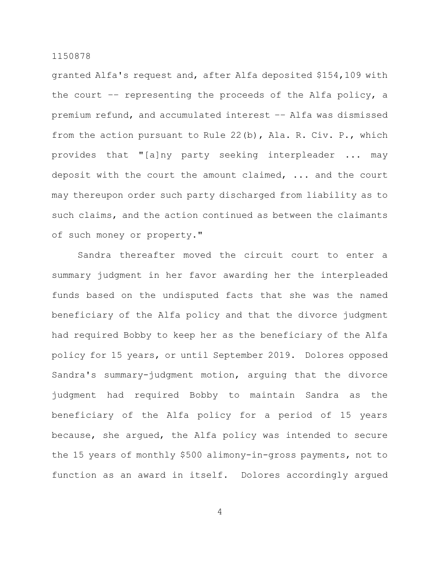granted Alfa's request and, after Alfa deposited \$154,109 with the court –– representing the proceeds of the Alfa policy, a premium refund, and accumulated interest –– Alfa was dismissed from the action pursuant to Rule 22(b), Ala. R. Civ. P., which provides that "[a]ny party seeking interpleader ... may deposit with the court the amount claimed, ... and the court may thereupon order such party discharged from liability as to such claims, and the action continued as between the claimants of such money or property."

Sandra thereafter moved the circuit court to enter a summary judgment in her favor awarding her the interpleaded funds based on the undisputed facts that she was the named beneficiary of the Alfa policy and that the divorce judgment had required Bobby to keep her as the beneficiary of the Alfa policy for 15 years, or until September 2019. Dolores opposed Sandra's summary-judgment motion, arguing that the divorce judgment had required Bobby to maintain Sandra as the beneficiary of the Alfa policy for a period of 15 years because, she argued, the Alfa policy was intended to secure the 15 years of monthly \$500 alimony-in-gross payments, not to function as an award in itself. Dolores accordingly argued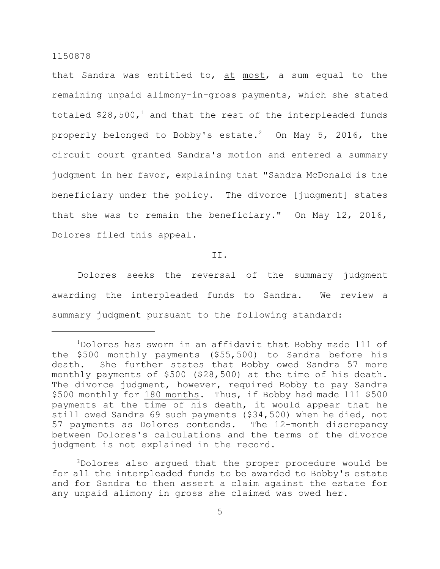that Sandra was entitled to, at most, a sum equal to the remaining unpaid alimony-in-gross payments, which she stated totaled  $$28,500<sub>1</sub>$  and that the rest of the interpleaded funds properly belonged to Bobby's estate. $^2$   $\,$  On May 5, 2016, the circuit court granted Sandra's motion and entered a summary judgment in her favor, explaining that "Sandra McDonald is the beneficiary under the policy. The divorce [judgment] states that she was to remain the beneficiary." On May 12, 2016, Dolores filed this appeal.

II.

Dolores seeks the reversal of the summary judgment awarding the interpleaded funds to Sandra. We review a summary judgment pursuant to the following standard:

 $2$ Dolores also argued that the proper procedure would be for all the interpleaded funds to be awarded to Bobby's estate and for Sandra to then assert a claim against the estate for any unpaid alimony in gross she claimed was owed her.

 $1$ Dolores has sworn in an affidavit that Bobby made 111 of the \$500 monthly payments (\$55,500) to Sandra before his death. She further states that Bobby owed Sandra 57 more monthly payments of \$500 (\$28,500) at the time of his death. The divorce judgment, however, required Bobby to pay Sandra \$500 monthly for 180 months. Thus, if Bobby had made 111 \$500 payments at the time of his death, it would appear that he still owed Sandra 69 such payments (\$34,500) when he died, not 57 payments as Dolores contends. The 12-month discrepancy between Dolores's calculations and the terms of the divorce judgment is not explained in the record.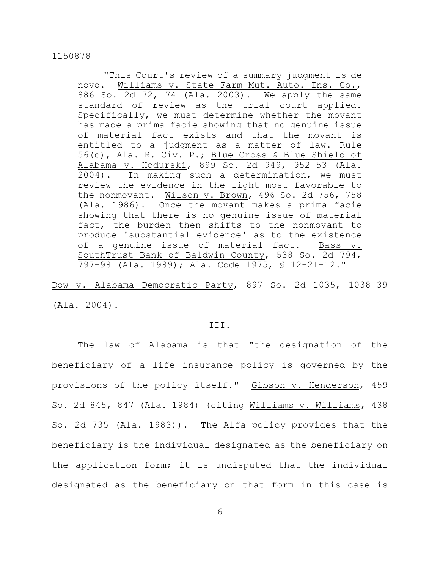"This Court's review of a summary judgment is de novo. Williams v. State Farm Mut. Auto. Ins. Co., 886 So. 2d 72, 74 (Ala. 2003). We apply the same standard of review as the trial court applied. Specifically, we must determine whether the movant has made a prima facie showing that no genuine issue of material fact exists and that the movant is entitled to a judgment as a matter of law. Rule 56(c), Ala. R. Civ. P.; Blue Cross & Blue Shield of Alabama v. Hodurski, 899 So. 2d 949, 952-53 (Ala. 2004). In making such a determination, we must review the evidence in the light most favorable to the nonmovant. Wilson v. Brown, 496 So. 2d 756, 758 (Ala. 1986). Once the movant makes a prima facie showing that there is no genuine issue of material fact, the burden then shifts to the nonmovant to produce 'substantial evidence' as to the existence of a genuine issue of material fact. Bass v. SouthTrust Bank of Baldwin County, 538 So. 2d 794, 797-98 (Ala. 1989); Ala. Code 1975, § 12-21-12."

Dow v. Alabama Democratic Party, 897 So. 2d 1035, 1038-39 (Ala. 2004).

#### III.

The law of Alabama is that "the designation of the beneficiary of a life insurance policy is governed by the provisions of the policy itself." Gibson v. Henderson, 459 So. 2d 845, 847 (Ala. 1984) (citing Williams v. Williams, 438 So. 2d 735 (Ala. 1983)). The Alfa policy provides that the beneficiary is the individual designated as the beneficiary on the application form; it is undisputed that the individual designated as the beneficiary on that form in this case is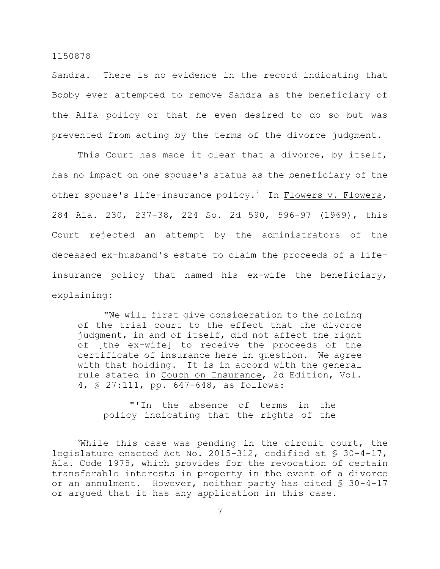Sandra. There is no evidence in the record indicating that Bobby ever attempted to remove Sandra as the beneficiary of the Alfa policy or that he even desired to do so but was prevented from acting by the terms of the divorce judgment.

This Court has made it clear that a divorce, by itself, has no impact on one spouse's status as the beneficiary of the other spouse's life-insurance policy.<sup>3</sup> In Flowers v. Flowers, 284 Ala. 230, 237-38, 224 So. 2d 590, 596-97 (1969), this Court rejected an attempt by the administrators of the deceased ex-husband's estate to claim the proceeds of a lifeinsurance policy that named his ex-wife the beneficiary, explaining:

"We will first give consideration to the holding of the trial court to the effect that the divorce judgment, in and of itself, did not affect the right of [the ex-wife] to receive the proceeds of the certificate of insurance here in question. We agree with that holding. It is in accord with the general rule stated in Couch on Insurance, 2d Edition, Vol. 4, § 27:111, pp. 647-648, as follows:

"'In the absence of terms in the policy indicating that the rights of the

 $3$ While this case was pending in the circuit court, the legislature enacted Act No. 2015-312, codified at § 30-4-17, Ala. Code 1975, which provides for the revocation of certain transferable interests in property in the event of a divorce or an annulment. However, neither party has cited § 30-4-17 or argued that it has any application in this case.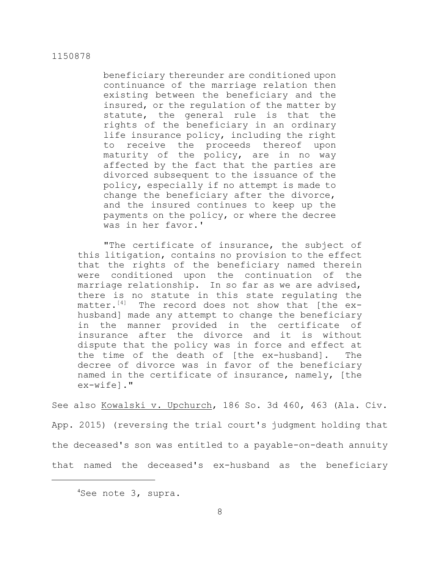beneficiary thereunder are conditioned upon continuance of the marriage relation then existing between the beneficiary and the insured, or the regulation of the matter by statute, the general rule is that the rights of the beneficiary in an ordinary life insurance policy, including the right to receive the proceeds thereof upon maturity of the policy, are in no way affected by the fact that the parties are divorced subsequent to the issuance of the policy, especially if no attempt is made to change the beneficiary after the divorce, and the insured continues to keep up the payments on the policy, or where the decree was in her favor.'

"The certificate of insurance, the subject of this litigation, contains no provision to the effect that the rights of the beneficiary named therein were conditioned upon the continuation of the marriage relationship. In so far as we are advised, there is no statute in this state regulating the matter.<sup>[4]</sup> The record does not show that [the exhusband] made any attempt to change the beneficiary in the manner provided in the certificate of insurance after the divorce and it is without dispute that the policy was in force and effect at the time of the death of [the ex-husband]. The decree of divorce was in favor of the beneficiary named in the certificate of insurance, namely, [the ex-wife]."

See also Kowalski v. Upchurch, 186 So. 3d 460, 463 (Ala. Civ. App. 2015) (reversing the trial court's judgment holding that the deceased's son was entitled to a payable-on-death annuity that named the deceased's ex-husband as the beneficiary

 $4$ See note 3, supra.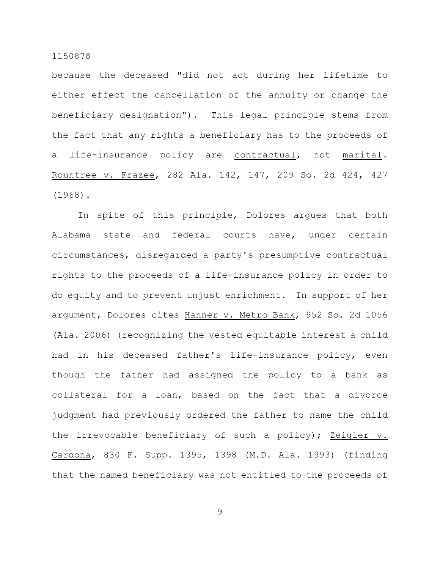because the deceased "did not act during her lifetime to either effect the cancellation of the annuity or change the beneficiary designation"). This legal principle stems from the fact that any rights a beneficiary has to the proceeds of a life-insurance policy are contractual, not marital. Rountree v. Frazee, 282 Ala. 142, 147, 209 So. 2d 424, 427 (1968).

In spite of this principle, Dolores argues that both Alabama state and federal courts have, under certain circumstances, disregarded a party's presumptive contractual rights to the proceeds of a life-insurance policy in order to do equity and to prevent unjust enrichment. In support of her argument, Dolores cites Hanner v. Metro Bank, 952 So. 2d 1056 (Ala. 2006) (recognizing the vested equitable interest a child had in his deceased father's life-insurance policy, even though the father had assigned the policy to a bank as collateral for a loan, based on the fact that a divorce judgment had previously ordered the father to name the child the irrevocable beneficiary of such a policy); Zeigler v. Cardona, 830 F. Supp. 1395, 1398 (M.D. Ala. 1993) (finding that the named beneficiary was not entitled to the proceeds of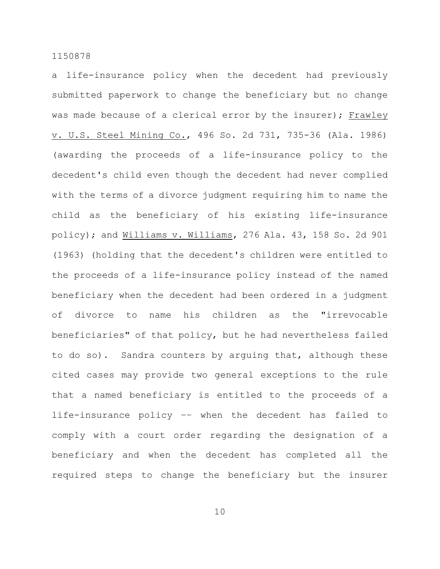a life-insurance policy when the decedent had previously submitted paperwork to change the beneficiary but no change was made because of a clerical error by the insurer); Frawley v. U.S. Steel Mining Co., 496 So. 2d 731, 735-36 (Ala. 1986) (awarding the proceeds of a life-insurance policy to the decedent's child even though the decedent had never complied with the terms of a divorce judgment requiring him to name the child as the beneficiary of his existing life-insurance policy); and Williams v. Williams, 276 Ala. 43, 158 So. 2d 901 (1963) (holding that the decedent's children were entitled to the proceeds of a life-insurance policy instead of the named beneficiary when the decedent had been ordered in a judgment of divorce to name his children as the "irrevocable beneficiaries" of that policy, but he had nevertheless failed to do so). Sandra counters by arguing that, although these cited cases may provide two general exceptions to the rule that a named beneficiary is entitled to the proceeds of a life-insurance policy –– when the decedent has failed to comply with a court order regarding the designation of a beneficiary and when the decedent has completed all the required steps to change the beneficiary but the insurer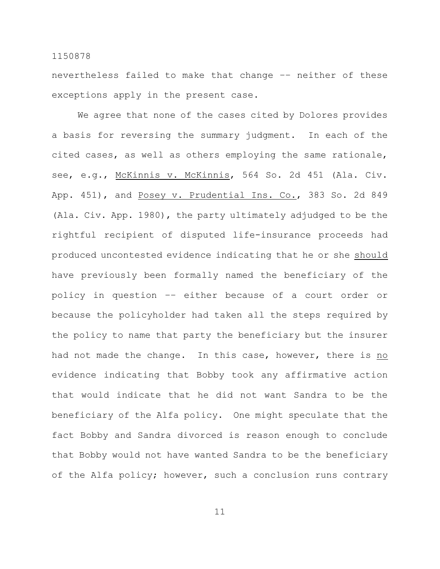nevertheless failed to make that change –– neither of these exceptions apply in the present case.

We agree that none of the cases cited by Dolores provides a basis for reversing the summary judgment. In each of the cited cases, as well as others employing the same rationale, see, e.g., McKinnis v. McKinnis, 564 So. 2d 451 (Ala. Civ. App. 451), and Posey v. Prudential Ins. Co., 383 So. 2d 849 (Ala. Civ. App. 1980), the party ultimately adjudged to be the rightful recipient of disputed life-insurance proceeds had produced uncontested evidence indicating that he or she should have previously been formally named the beneficiary of the policy in question –– either because of a court order or because the policyholder had taken all the steps required by the policy to name that party the beneficiary but the insurer had not made the change. In this case, however, there is no evidence indicating that Bobby took any affirmative action that would indicate that he did not want Sandra to be the beneficiary of the Alfa policy. One might speculate that the fact Bobby and Sandra divorced is reason enough to conclude that Bobby would not have wanted Sandra to be the beneficiary of the Alfa policy; however, such a conclusion runs contrary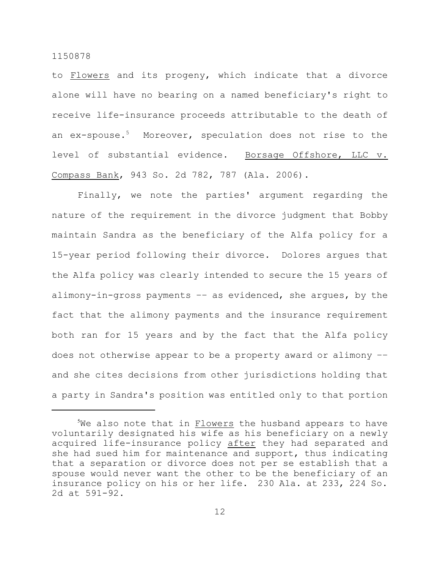to Flowers and its progeny, which indicate that a divorce alone will have no bearing on a named beneficiary's right to receive life-insurance proceeds attributable to the death of an ex-spouse.<sup>5</sup> Moreover, speculation does not rise to the level of substantial evidence. Borsage Offshore, LLC v. Compass Bank, 943 So. 2d 782, 787 (Ala. 2006).

Finally, we note the parties' argument regarding the nature of the requirement in the divorce judgment that Bobby maintain Sandra as the beneficiary of the Alfa policy for a 15-year period following their divorce. Dolores argues that the Alfa policy was clearly intended to secure the 15 years of alimony-in-gross payments –– as evidenced, she argues, by the fact that the alimony payments and the insurance requirement both ran for 15 years and by the fact that the Alfa policy does not otherwise appear to be a property award or alimony –– and she cites decisions from other jurisdictions holding that a party in Sandra's position was entitled only to that portion

 $5$ We also note that in Flowers the husband appears to have voluntarily designated his wife as his beneficiary on a newly acquired life-insurance policy after they had separated and she had sued him for maintenance and support, thus indicating that a separation or divorce does not per se establish that a spouse would never want the other to be the beneficiary of an insurance policy on his or her life. 230 Ala. at 233, 224 So. 2d at 591-92.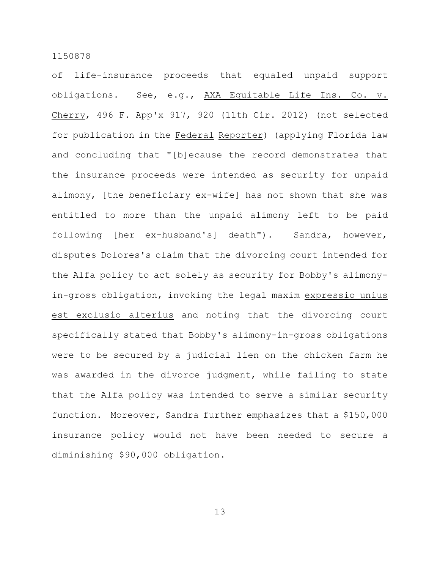of life-insurance proceeds that equaled unpaid support obligations. See, e.g., AXA Equitable Life Ins. Co. v. Cherry, 496 F. App'x 917, 920 (11th Cir. 2012) (not selected for publication in the Federal Reporter) (applying Florida law and concluding that "[b]ecause the record demonstrates that the insurance proceeds were intended as security for unpaid alimony, [the beneficiary ex-wife] has not shown that she was entitled to more than the unpaid alimony left to be paid following [her ex-husband's] death"). Sandra, however, disputes Dolores's claim that the divorcing court intended for the Alfa policy to act solely as security for Bobby's alimonyin-gross obligation, invoking the legal maxim expressio unius est exclusio alterius and noting that the divorcing court specifically stated that Bobby's alimony-in-gross obligations were to be secured by a judicial lien on the chicken farm he was awarded in the divorce judgment, while failing to state that the Alfa policy was intended to serve a similar security function. Moreover, Sandra further emphasizes that a \$150,000 insurance policy would not have been needed to secure a diminishing \$90,000 obligation.